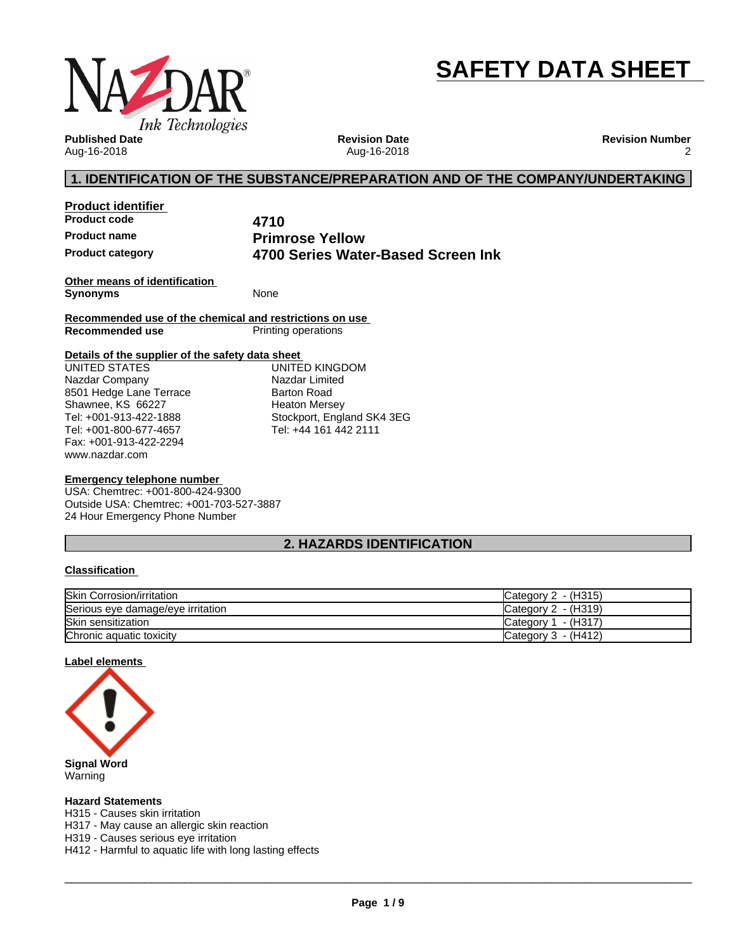

# **SAFETY DATA SHEET**

**Published Date** Aug-16-2018

**Revision Date** Aug-16-2018 **Revision Number** 2

# **1. IDENTIFICATION OF THE SUBSTANCE/PREPARATION AND OF THE COMPANY/UNDERTAKING**

**Product identifier Product code 4710**

**Product name Primrose Yellow Product category 4700 Series Water-Based Screen Ink**

**Other means of identification Synonyms** None

**Recommended use of the chemical and restrictions on use Printing operations** 

#### **Details of the supplier of the safety data sheet**

www.nazdar.com UNITED STATES Nazdar Company 8501 Hedge Lane Terrace Shawnee, KS 66227 Tel: +001-913-422-1888 Tel: +001-800-677-4657 Fax: +001-913-422-2294

UNITED KINGDOM Nazdar Limited Barton Road Heaton Mersey Stockport, England SK4 3EG Tel: +44 161 442 2111

#### **Emergency telephone number**

USA: Chemtrec: +001-800-424-9300 Outside USA: Chemtrec: +001-703-527-3887 24 Hour Emergency Phone Number

# **2. HAZARDS IDENTIFICATION**

#### **Classification**

| <b>Skin Corrosion/irritation</b>  | - (H315)<br>Category 2 |
|-----------------------------------|------------------------|
| Serious eye damage/eye irritation | Category 2 - (H319)    |
| Skin sensitization                | - (H317`<br>Category 1 |
| Chronic aquatic toxicity          | Category 3 - (H412)    |

#### **Label elements**



Warning

#### **Hazard Statements**

H315 - Causes skin irritation

H317 - May cause an allergic skin reaction

H319 - Causes serious eye irritation

H412 - Harmful to aquatic life with long lasting effects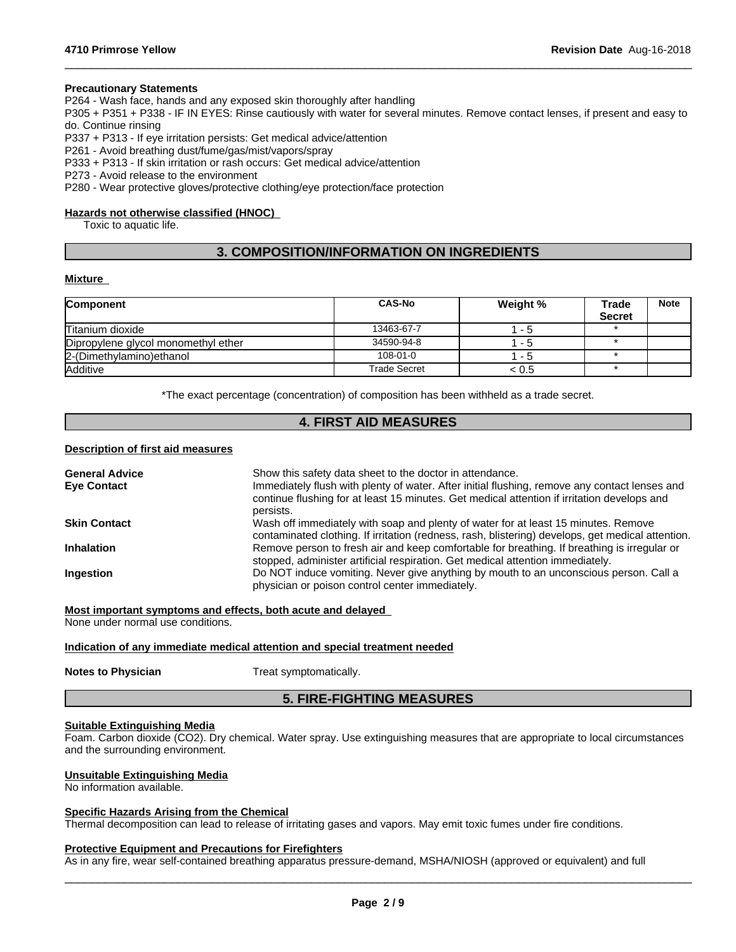#### **Precautionary Statements**

P264 - Wash face, hands and any exposed skin thoroughly after handling

P305 + P351 + P338 - IF IN EYES: Rinse cautiously with water forseveral minutes. Remove contact lenses, if present and easy to do. Continue rinsing

 $\_$  ,  $\_$  ,  $\_$  ,  $\_$  ,  $\_$  ,  $\_$  ,  $\_$  ,  $\_$  ,  $\_$  ,  $\_$  ,  $\_$  ,  $\_$  ,  $\_$  ,  $\_$  ,  $\_$  ,  $\_$  ,  $\_$  ,  $\_$  ,  $\_$  ,  $\_$  ,  $\_$  ,  $\_$  ,  $\_$  ,  $\_$  ,  $\_$  ,  $\_$  ,  $\_$  ,  $\_$  ,  $\_$  ,  $\_$  ,  $\_$  ,  $\_$  ,  $\_$  ,  $\_$  ,  $\_$  ,  $\_$  ,  $\_$  ,

P337 + P313 - If eye irritation persists: Get medical advice/attention

P261 - Avoid breathing dust/fume/gas/mist/vapors/spray

P333 + P313 - If skin irritation or rash occurs: Get medical advice/attention

P273 - Avoid release to the environment

P280 - Wear protective gloves/protective clothing/eye protection/face protection

#### **Hazards not otherwise classified (HNOC)**

Toxic to aquatic life.

# **3. COMPOSITION/INFORMATION ON INGREDIENTS**

#### **Mixture**

| <b>Component</b>                    | <b>CAS-No</b>  | Weight % | Trade<br><b>Secret</b> | <b>Note</b> |
|-------------------------------------|----------------|----------|------------------------|-------------|
| Titanium dioxide                    | 13463-67-7     | - 5      |                        |             |
| Dipropylene glycol monomethyl ether | 34590-94-8     | - 5      |                        |             |
| 2-(Dimethylamino) ethanol           | $108 - 01 - 0$ | - 5      |                        |             |
| <b>Additive</b>                     | Trade Secret   | < 0.5    |                        |             |

\*The exact percentage (concentration) of composition has been withheld as a trade secret.

# **4. FIRST AID MEASURES**

#### **Description of first aid measures**

| <b>General Advice</b> | Show this safety data sheet to the doctor in attendance.                                                                                                                                                  |
|-----------------------|-----------------------------------------------------------------------------------------------------------------------------------------------------------------------------------------------------------|
| <b>Eye Contact</b>    | Immediately flush with plenty of water. After initial flushing, remove any contact lenses and<br>continue flushing for at least 15 minutes. Get medical attention if irritation develops and<br>persists. |
| <b>Skin Contact</b>   | Wash off immediately with soap and plenty of water for at least 15 minutes. Remove<br>contaminated clothing. If irritation (redness, rash, blistering) develops, get medical attention.                   |
| <b>Inhalation</b>     | Remove person to fresh air and keep comfortable for breathing. If breathing is irregular or<br>stopped, administer artificial respiration. Get medical attention immediately.                             |
| <b>Ingestion</b>      | Do NOT induce vomiting. Never give anything by mouth to an unconscious person. Call a<br>physician or poison control center immediately.                                                                  |

**Most important symptoms and effects, both acute and delayed**

None under normal use conditions.

#### **Indication of any immediate medical attention and special treatment needed**

**Notes to Physician** Treat symptomatically.

# **5. FIRE-FIGHTING MEASURES**

#### **Suitable Extinguishing Media**

Foam. Carbon dioxide (CO2). Dry chemical. Water spray. Use extinguishing measures that are appropriate to local circumstances and the surrounding environment.

#### **Unsuitable Extinguishing Media**

No information available.

#### **Specific Hazards Arising from the Chemical**

Thermal decomposition can lead to release of irritating gases and vapors. May emit toxic fumes under fire conditions.

#### **Protective Equipment and Precautions for Firefighters**

As in any fire, wear self-contained breathing apparatus pressure-demand, MSHA/NIOSH (approved or equivalent) and full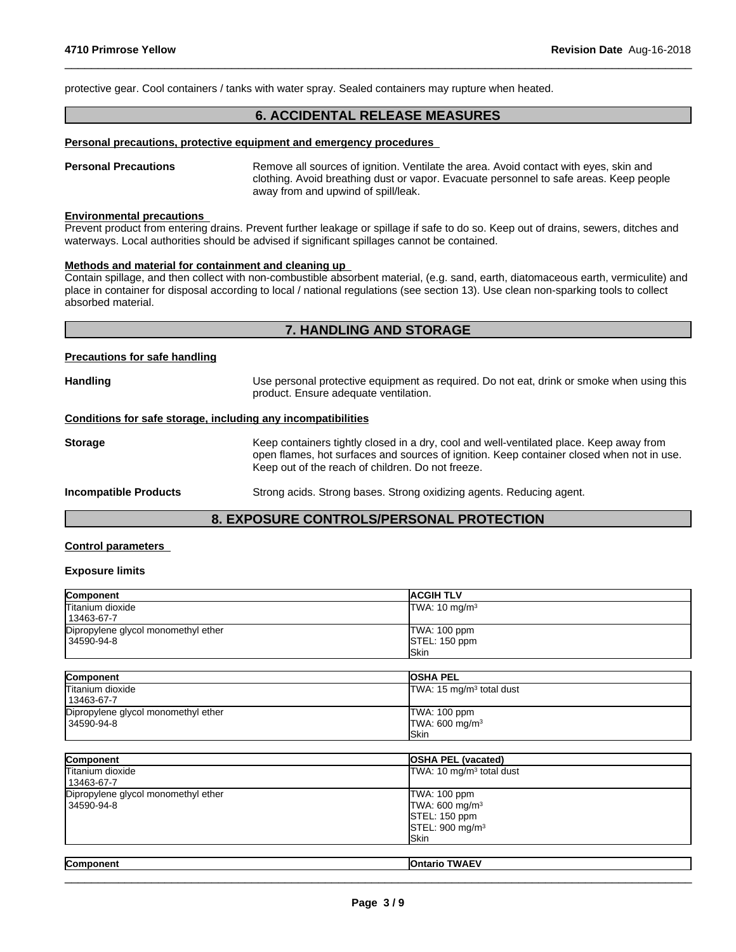protective gear. Cool containers / tanks with water spray. Sealed containers may rupture when heated.

# **6. ACCIDENTAL RELEASE MEASURES**

 $\_$  ,  $\_$  ,  $\_$  ,  $\_$  ,  $\_$  ,  $\_$  ,  $\_$  ,  $\_$  ,  $\_$  ,  $\_$  ,  $\_$  ,  $\_$  ,  $\_$  ,  $\_$  ,  $\_$  ,  $\_$  ,  $\_$  ,  $\_$  ,  $\_$  ,  $\_$  ,  $\_$  ,  $\_$  ,  $\_$  ,  $\_$  ,  $\_$  ,  $\_$  ,  $\_$  ,  $\_$  ,  $\_$  ,  $\_$  ,  $\_$  ,  $\_$  ,  $\_$  ,  $\_$  ,  $\_$  ,  $\_$  ,  $\_$  ,

#### **Personal precautions, protective equipment and emergency procedures**

**Personal Precautions** Remove all sources of ignition. Ventilate the area. Avoid contact with eyes, skin and clothing. Avoid breathing dust or vapor. Evacuate personnel to safe areas. Keep people away from and upwind of spill/leak.

#### **Environmental precautions**

Prevent product from entering drains. Prevent further leakage or spillage if safe to do so. Keep out of drains, sewers, ditches and waterways. Local authorities should be advised if significant spillages cannot be contained.

#### **Methods and material for containment and cleaning up**

Contain spillage, and then collectwith non-combustible absorbent material, (e.g. sand, earth, diatomaceous earth, vermiculite) and place in container for disposal according to local / national regulations (see section 13). Use clean non-sparking tools to collect absorbed material.

# **7. HANDLING AND STORAGE**

## **Precautions for safe handling**

| <b>Handling</b>                                              | Use personal protective equipment as required. Do not eat, drink or smoke when using this<br>product. Ensure adequate ventilation.                                                                                                        |
|--------------------------------------------------------------|-------------------------------------------------------------------------------------------------------------------------------------------------------------------------------------------------------------------------------------------|
| Conditions for safe storage, including any incompatibilities |                                                                                                                                                                                                                                           |
| <b>Storage</b>                                               | Keep containers tightly closed in a dry, cool and well-ventilated place. Keep away from<br>open flames, hot surfaces and sources of ignition. Keep container closed when not in use.<br>Keep out of the reach of children. Do not freeze. |
| <b>Incompatible Products</b>                                 | Strong acids. Strong bases. Strong oxidizing agents. Reducing agent.                                                                                                                                                                      |
|                                                              |                                                                                                                                                                                                                                           |

# **8. EXPOSURE CONTROLS/PERSONAL PROTECTION**

## **Control parameters**

#### **Exposure limits**

| Component                           | <b>ACGIH TLV</b>          |
|-------------------------------------|---------------------------|
| Titanium dioxide                    | TWA: 10 mg/m <sup>3</sup> |
| 13463-67-7                          |                           |
| Dipropylene glycol monomethyl ether | TWA: 100 ppm              |
| 34590-94-8                          | STEL: 150 ppm             |
|                                     | lSkin                     |

| Component                           | <b>OSHA PEL</b>            |
|-------------------------------------|----------------------------|
| Titanium dioxide                    | TWA: 15 $mg/m3$ total dust |
| 13463-67-7                          |                            |
| Dipropylene glycol monomethyl ether | TWA: 100 ppm               |
| 34590-94-8                          | TWA: 600 mg/m <sup>3</sup> |
|                                     | <b>ISkin</b>               |

| Component                                         | <b>OSHA PEL (vacated)</b>                                                                           |  |
|---------------------------------------------------|-----------------------------------------------------------------------------------------------------|--|
| Titanium dioxide<br>13463-67-7                    | TWA: 10 mg/m <sup>3</sup> total dust                                                                |  |
| Dipropylene glycol monomethyl ether<br>34590-94-8 | TWA: 100 ppm<br>TWA: 600 mg/m <sup>3</sup><br>STEL: 150 ppm<br>STEL: 900 mg/m <sup>3</sup><br>lSkin |  |
| Component                                         | <b>Ontario TWAEV</b>                                                                                |  |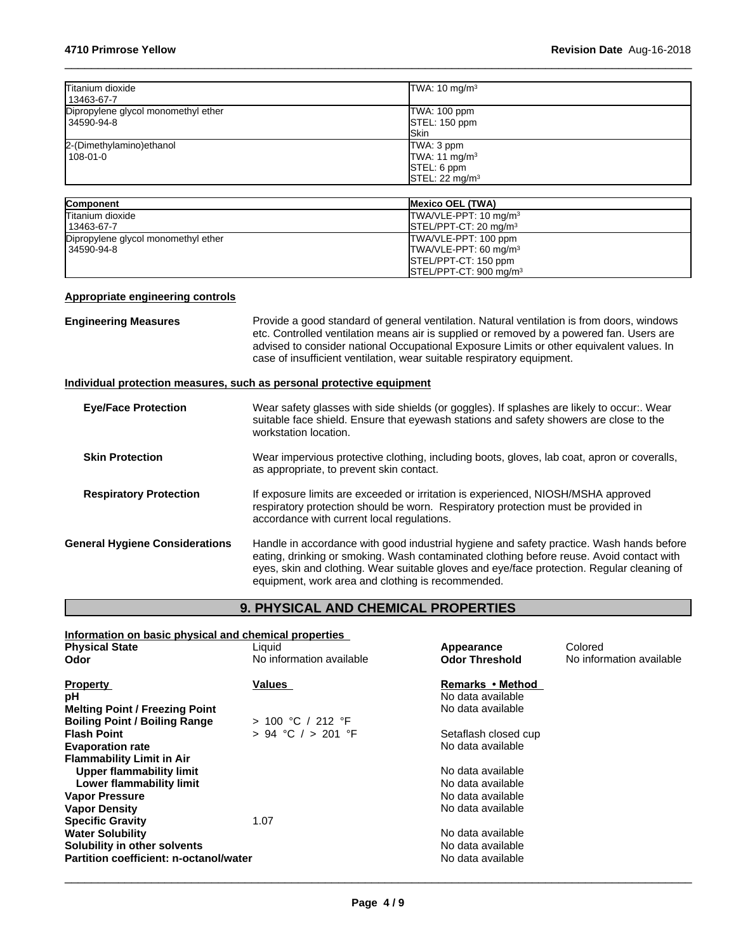| Titanium dioxide<br>13463-67-7                      | TWA: $10 \text{ mg/m}^3$      |
|-----------------------------------------------------|-------------------------------|
| Dipropylene glycol monomethyl ether<br>l 34590-94-8 | TWA: 100 ppm<br>STEL: 150 ppm |
|                                                     | <b>ISkin</b>                  |
| 2-(Dimethylamino) ethanol                           | TWA: 3 ppm                    |
| 108-01-0                                            | TWA: 11 $mg/m3$               |
|                                                     | <b>STEL: 6 ppm</b>            |
|                                                     | STEL: 22 mg/m <sup>3</sup>    |

| <b>Component</b>                    | <b>Mexico OEL (TWA)</b>                       |
|-------------------------------------|-----------------------------------------------|
| <b>Titanium dioxide</b>             | TWA/VLE-PPT: 10 mg/m <sup>3</sup>             |
| 13463-67-7                          | $ISTEL/PPT-CT: 20 mg/m3$                      |
| Dipropylene glycol monomethyl ether | TWA/VLE-PPT: 100 ppm                          |
| 34590-94-8                          | TWA/VLE-PPT: 60 mg/m <sup>3</sup>             |
|                                     | <b>ISTEL/PPT-CT: 150 ppm</b>                  |
|                                     | $\textsf{ISTEL/PPT-CT: 900}\,\textsf{mq/m}^3$ |

# **Appropriate engineering controls**

| <b>Engineering Measures</b>           | Provide a good standard of general ventilation. Natural ventilation is from doors, windows<br>etc. Controlled ventilation means air is supplied or removed by a powered fan. Users are<br>advised to consider national Occupational Exposure Limits or other equivalent values. In<br>case of insufficient ventilation, wear suitable respiratory equipment. |
|---------------------------------------|--------------------------------------------------------------------------------------------------------------------------------------------------------------------------------------------------------------------------------------------------------------------------------------------------------------------------------------------------------------|
|                                       | Individual protection measures, such as personal protective equipment                                                                                                                                                                                                                                                                                        |
| <b>Eye/Face Protection</b>            | Wear safety glasses with side shields (or goggles). If splashes are likely to occur:. Wear<br>suitable face shield. Ensure that eyewash stations and safety showers are close to the<br>workstation location.                                                                                                                                                |
| <b>Skin Protection</b>                | Wear impervious protective clothing, including boots, gloves, lab coat, apron or coveralls,<br>as appropriate, to prevent skin contact.                                                                                                                                                                                                                      |
| <b>Respiratory Protection</b>         | If exposure limits are exceeded or irritation is experienced, NIOSH/MSHA approved<br>respiratory protection should be worn. Respiratory protection must be provided in<br>accordance with current local regulations.                                                                                                                                         |
| <b>General Hygiene Considerations</b> | Handle in accordance with good industrial hygiene and safety practice. Wash hands before<br>eating, drinking or smoking. Wash contaminated clothing before reuse. Avoid contact with<br>eyes, skin and clothing. Wear suitable gloves and eye/face protection. Regular cleaning of<br>equipment, work area and clothing is recommended.                      |

# **9. PHYSICAL AND CHEMICAL PROPERTIES**

| Information on basic physical and chemical properties |                          |                       |                          |  |  |
|-------------------------------------------------------|--------------------------|-----------------------|--------------------------|--|--|
| <b>Physical State</b>                                 | Liquid                   | Appearance            | Colored                  |  |  |
| Odor                                                  | No information available | <b>Odor Threshold</b> | No information available |  |  |
| <b>Property</b>                                       | Values                   | Remarks • Method      |                          |  |  |
| рH                                                    |                          | No data available     |                          |  |  |
| <b>Melting Point / Freezing Point</b>                 |                          | No data available     |                          |  |  |
| <b>Boiling Point / Boiling Range</b>                  | > 100 °C / 212 °F        |                       |                          |  |  |
| <b>Flash Point</b>                                    | $> 94$ °C $/ > 201$ °F   | Setaflash closed cup  |                          |  |  |
| <b>Evaporation rate</b>                               |                          | No data available     |                          |  |  |
| <b>Flammability Limit in Air</b>                      |                          |                       |                          |  |  |
| <b>Upper flammability limit</b>                       |                          | No data available     |                          |  |  |
| Lower flammability limit                              |                          | No data available     |                          |  |  |
| <b>Vapor Pressure</b>                                 |                          | No data available     |                          |  |  |
| <b>Vapor Density</b>                                  |                          | No data available     |                          |  |  |
| <b>Specific Gravity</b>                               | 1.07                     |                       |                          |  |  |
| <b>Water Solubility</b>                               |                          | No data available     |                          |  |  |
| Solubility in other solvents                          |                          | No data available     |                          |  |  |
| Partition coefficient: n-octanol/water                |                          | No data available     |                          |  |  |
|                                                       |                          |                       |                          |  |  |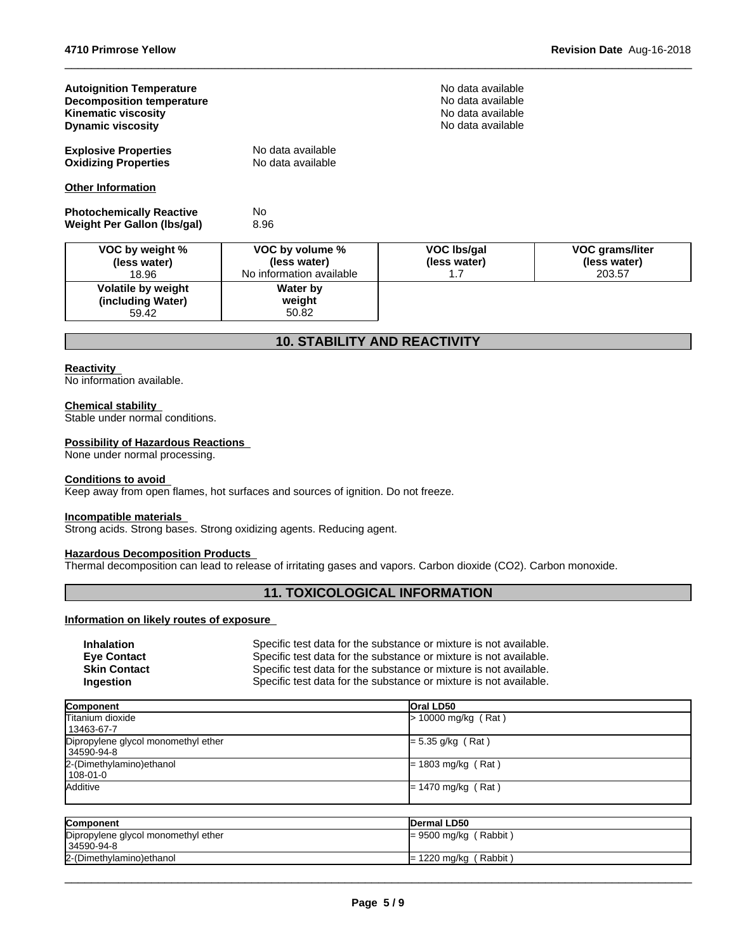| <b>Autoignition Temperature</b><br><b>Decomposition temperature</b><br><b>Kinematic viscosity</b><br><b>Dynamic viscosity</b> |                                                             | No data available<br>No data available<br>No data available<br>No data available |                                                  |
|-------------------------------------------------------------------------------------------------------------------------------|-------------------------------------------------------------|----------------------------------------------------------------------------------|--------------------------------------------------|
| <b>Explosive Properties</b><br><b>Oxidizing Properties</b>                                                                    | No data available<br>No data available                      |                                                                                  |                                                  |
| <b>Other Information</b>                                                                                                      |                                                             |                                                                                  |                                                  |
| <b>Photochemically Reactive</b><br>Weight Per Gallon (Ibs/gal)                                                                | No.<br>8.96                                                 |                                                                                  |                                                  |
| VOC by weight %<br>(less water)<br>18.96                                                                                      | VOC by volume %<br>(less water)<br>No information available | VOC Ibs/gal<br>(less water)<br>1.7                                               | <b>VOC grams/liter</b><br>(less water)<br>203.57 |
| Volatile by weight<br>(including Water)<br>59.42                                                                              | Water by<br>weight<br>50.82                                 |                                                                                  |                                                  |

# **10. STABILITY AND REACTIVITY**

#### **Reactivity**

No information available.

#### **Chemical stability**

Stable under normal conditions.

## **Possibility of Hazardous Reactions**

None under normal processing.

#### **Conditions to avoid**

Keep away from open flames, hot surfaces and sources of ignition. Do not freeze.

## **Incompatible materials**

Strong acids. Strong bases. Strong oxidizing agents. Reducing agent.

# **Hazardous Decomposition Products**

Thermal decomposition can lead to release of irritating gases and vapors. Carbon dioxide (CO2). Carbon monoxide.

# **11. TOXICOLOGICAL INFORMATION**

# **Information on likely routes of exposure**

| <b>Inhalation</b>   | Specific test data for the substance or mixture is not available. |
|---------------------|-------------------------------------------------------------------|
| <b>Eve Contact</b>  | Specific test data for the substance or mixture is not available. |
| <b>Skin Contact</b> | Specific test data for the substance or mixture is not available. |
| Ingestion           | Specific test data for the substance or mixture is not available. |

| Component                                         | <b>Oral LD50</b>      |
|---------------------------------------------------|-----------------------|
| Titanium dioxide<br>  13463-67-7                  | $> 10000$ mg/kg (Rat) |
| Dipropylene glycol monomethyl ether<br>34590-94-8 | $= 5.35$ g/kg (Rat)   |
| 2-(Dimethylamino) ethanol<br>$108 - 01 - 0$       | $= 1803$ mg/kg (Rat)  |
| Additive                                          | $= 1470$ mg/kg (Rat)  |

| <b>Component</b>                    | <b>Dermal LD50</b>      |
|-------------------------------------|-------------------------|
| Dipropylene glycol monomethyl ether | $= 9500$ mg/kg (Rabbit) |
| 34590-94-8                          |                         |
| 2-(Dimethylamino) ethanol           | $= 1220$ mg/kg (Rabbit) |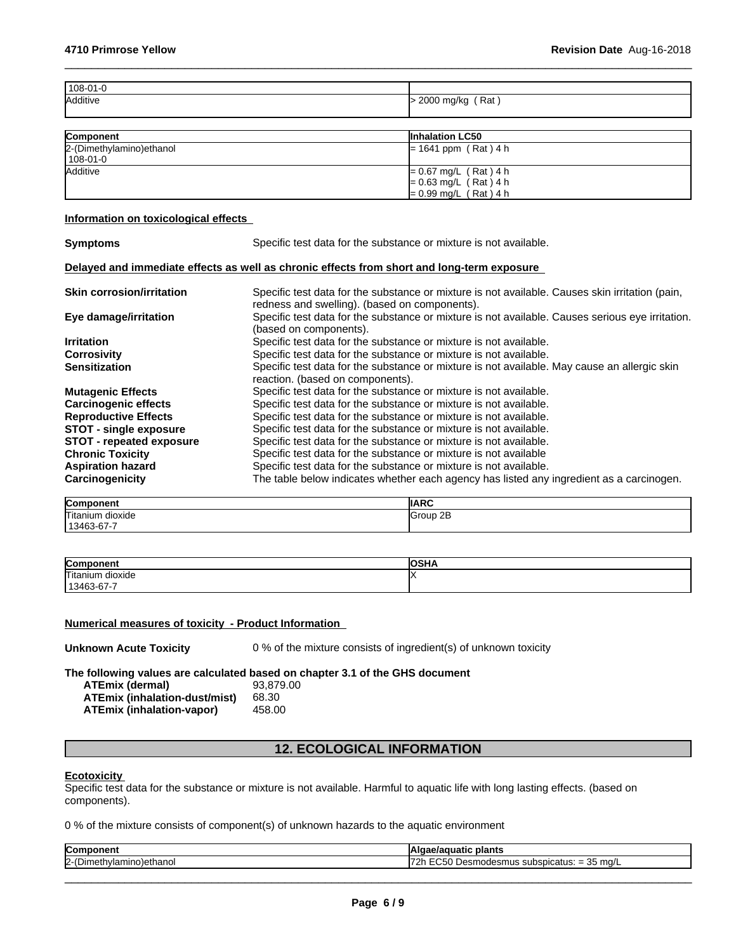| 108-01-0 |                      |
|----------|----------------------|
| Additive | $>$ 2000 mg/kg (Rat) |
|          |                      |

| <b>Component</b>          | <b>Inhalation LC50</b>  |
|---------------------------|-------------------------|
| 2-(Dimethylamino) ethanol | $= 1641$ ppm (Rat) 4 h  |
| 108-01-0                  |                         |
| <b>Additive</b>           | $= 0.67$ mg/L (Rat) 4 h |
|                           | $= 0.63$ mg/L (Rat) 4 h |
|                           | $= 0.99$ mg/L (Rat) 4 h |

## **Information on toxicological effects**

| <b>Symptoms</b>                  | Specific test data for the substance or mixture is not available.                                                                                |
|----------------------------------|--------------------------------------------------------------------------------------------------------------------------------------------------|
|                                  | Delayed and immediate effects as well as chronic effects from short and long-term exposure                                                       |
| <b>Skin corrosion/irritation</b> | Specific test data for the substance or mixture is not available. Causes skin irritation (pain,<br>redness and swelling). (based on components). |
| Eye damage/irritation            | Specific test data for the substance or mixture is not available. Causes serious eye irritation.<br>(based on components).                       |
| <b>Irritation</b>                | Specific test data for the substance or mixture is not available.                                                                                |
| <b>Corrosivity</b>               | Specific test data for the substance or mixture is not available.                                                                                |
| <b>Sensitization</b>             | Specific test data for the substance or mixture is not available. May cause an allergic skin<br>reaction. (based on components).                 |
| <b>Mutagenic Effects</b>         | Specific test data for the substance or mixture is not available.                                                                                |
| <b>Carcinogenic effects</b>      | Specific test data for the substance or mixture is not available.                                                                                |
| <b>Reproductive Effects</b>      | Specific test data for the substance or mixture is not available.                                                                                |
| <b>STOT - single exposure</b>    | Specific test data for the substance or mixture is not available.                                                                                |
| <b>STOT - repeated exposure</b>  | Specific test data for the substance or mixture is not available.                                                                                |
| <b>Chronic Toxicity</b>          | Specific test data for the substance or mixture is not available                                                                                 |
| <b>Aspiration hazard</b>         | Specific test data for the substance or mixture is not available.                                                                                |
| Carcinogenicity                  | The table below indicates whether each agency has listed any ingredient as a carcinogen.                                                         |

| Component<br>""            | <b>IIARC</b> |
|----------------------------|--------------|
| <b>Titanium</b><br>dioxide | 2E<br>Group  |
| 13463-67-7                 |              |

| Component                       | ا ایم ما<br>∴יחדכי<br>י |
|---------------------------------|-------------------------|
| Titanium<br>$\cdots$<br>dioxide |                         |
| 3-67-7<br>--<br>1346″ ∟<br>ັ    |                         |

# **Numerical measures of toxicity - Product Information**

| <b>Unknown Acute Toxicity</b> | 0 % of the mixture consists of ingredient(s) of unknown toxicity |  |
|-------------------------------|------------------------------------------------------------------|--|
|-------------------------------|------------------------------------------------------------------|--|

**The following values are calculated based on chapter 3.1 of the GHS document**

| <b>ATEmix (dermal)</b>           | 93.879.00 |
|----------------------------------|-----------|
| ATEmix (inhalation-dust/mist)    | 68.30     |
| <b>ATEmix (inhalation-vapor)</b> | 458.00    |

# **12. ECOLOGICAL INFORMATION**

#### **Ecotoxicity**

Specific test data for the substance or mixture is not available. Harmful to aquatic life with long lasting effects. (based on components).

0 % of the mixture consists of component(s) of unknown hazards to the aquatic environment

| - --                                            | plants                                                                                                 |
|-------------------------------------------------|--------------------------------------------------------------------------------------------------------|
| com                                             | шаш                                                                                                    |
| n)ım<br>r.<br>`ດ)etnano.<br>ורזו<br>15111<br>ı. | - -<br>2F<br>o ma/L دن<br>cubcoucoti<br>smus<br>noaesr<br>_<br>aluə.<br>.<br>u<br>-<br>$\cdot$ $\cdot$ |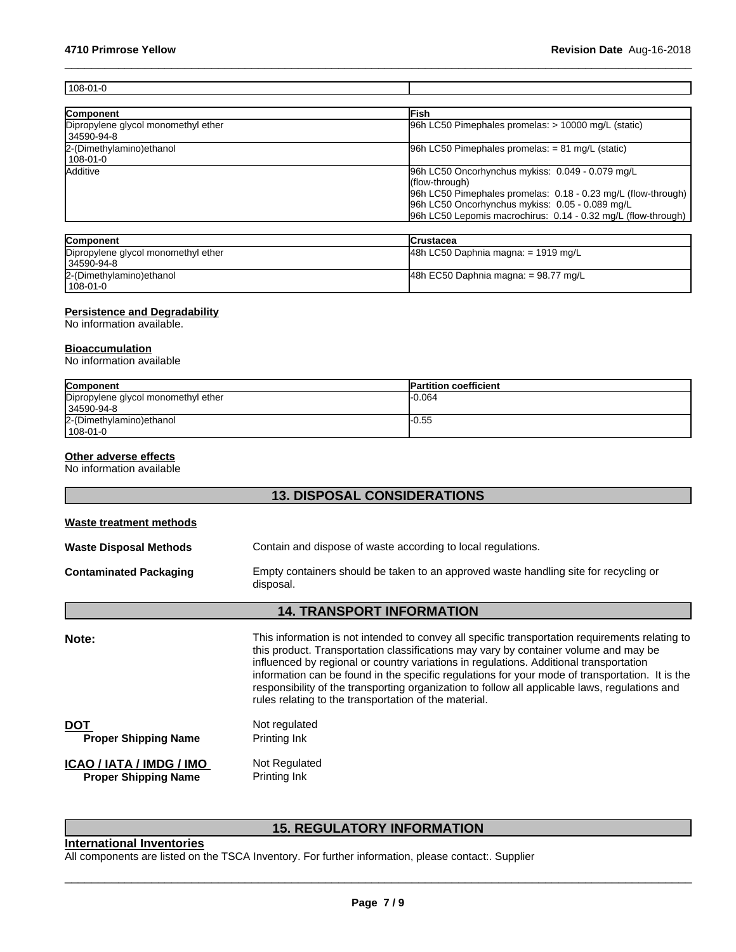| $108 - 01 - 0$                                    |                                                                                                                                                                                                                                                         |
|---------------------------------------------------|---------------------------------------------------------------------------------------------------------------------------------------------------------------------------------------------------------------------------------------------------------|
|                                                   |                                                                                                                                                                                                                                                         |
| Component                                         | Fish                                                                                                                                                                                                                                                    |
| Dipropylene glycol monomethyl ether<br>34590-94-8 | 96h LC50 Pimephales promelas: > 10000 mg/L (static)                                                                                                                                                                                                     |
| 2-(Dimethylamino) ethanol<br>$108 - 01 - 0$       | $[96h$ LC50 Pimephales promelas: = 81 mg/L (static)                                                                                                                                                                                                     |
| Additive                                          | 96h LC50 Oncorhynchus mykiss: 0.049 - 0.079 mg/L<br>(flow-through)<br>96h LC50 Pimephales promelas: 0.18 - 0.23 mg/L (flow-through)<br>96h LC50 Oncorhynchus mykiss: 0.05 - 0.089 mg/L<br>96h LC50 Lepomis macrochirus: 0.14 - 0.32 mg/L (flow-through) |

| <b>Component</b>                    | <b>ICrustacea</b>                       |
|-------------------------------------|-----------------------------------------|
| Dipropylene glycol monomethyl ether | $ 48h$ LC50 Daphnia magna: = 1919 mg/L  |
| l 34590-94-8                        |                                         |
| 2-(Dimethylamino) ethanol           | $ 48h$ EC50 Daphnia magna: = 98.77 mg/L |
| 108-01-0                            |                                         |

## **Persistence and Degradability**

No information available.

#### **Bioaccumulation**

No information available

| Component                           | <b>Partition coefficient</b> |
|-------------------------------------|------------------------------|
| Dipropylene glycol monomethyl ether | -0.064                       |
| 34590-94-8                          |                              |
| 2-(Dimethylamino) ethanol           | l-0.55                       |
| $1108 - 01 - 0$                     |                              |

#### **Other adverse effects**

No information available

# **13. DISPOSAL CONSIDERATIONS**

| Waste treatment methods                                 |                                                                                                                                                                                                                                                                                                                                                                                                                                                                                                                                                 |
|---------------------------------------------------------|-------------------------------------------------------------------------------------------------------------------------------------------------------------------------------------------------------------------------------------------------------------------------------------------------------------------------------------------------------------------------------------------------------------------------------------------------------------------------------------------------------------------------------------------------|
| Waste Disposal Methods                                  | Contain and dispose of waste according to local regulations.                                                                                                                                                                                                                                                                                                                                                                                                                                                                                    |
| Contaminated Packaging                                  | Empty containers should be taken to an approved waste handling site for recycling or<br>disposal.                                                                                                                                                                                                                                                                                                                                                                                                                                               |
|                                                         | <b>14. TRANSPORT INFORMATION</b>                                                                                                                                                                                                                                                                                                                                                                                                                                                                                                                |
| Note:                                                   | This information is not intended to convey all specific transportation requirements relating to<br>this product. Transportation classifications may vary by container volume and may be<br>influenced by regional or country variations in regulations. Additional transportation<br>information can be found in the specific regulations for your mode of transportation. It is the<br>responsibility of the transporting organization to follow all applicable laws, regulations and<br>rules relating to the transportation of the material. |
| DOT<br><b>Proper Shipping Name</b>                      | Not regulated<br>Printing Ink                                                                                                                                                                                                                                                                                                                                                                                                                                                                                                                   |
| ICAO / IATA / IMDG / IMO<br><b>Proper Shipping Name</b> | Not Regulated<br>Printing Ink                                                                                                                                                                                                                                                                                                                                                                                                                                                                                                                   |

# **15. REGULATORY INFORMATION**

# **International Inventories**

All components are listed on the TSCA Inventory. For further information, please contact:. Supplier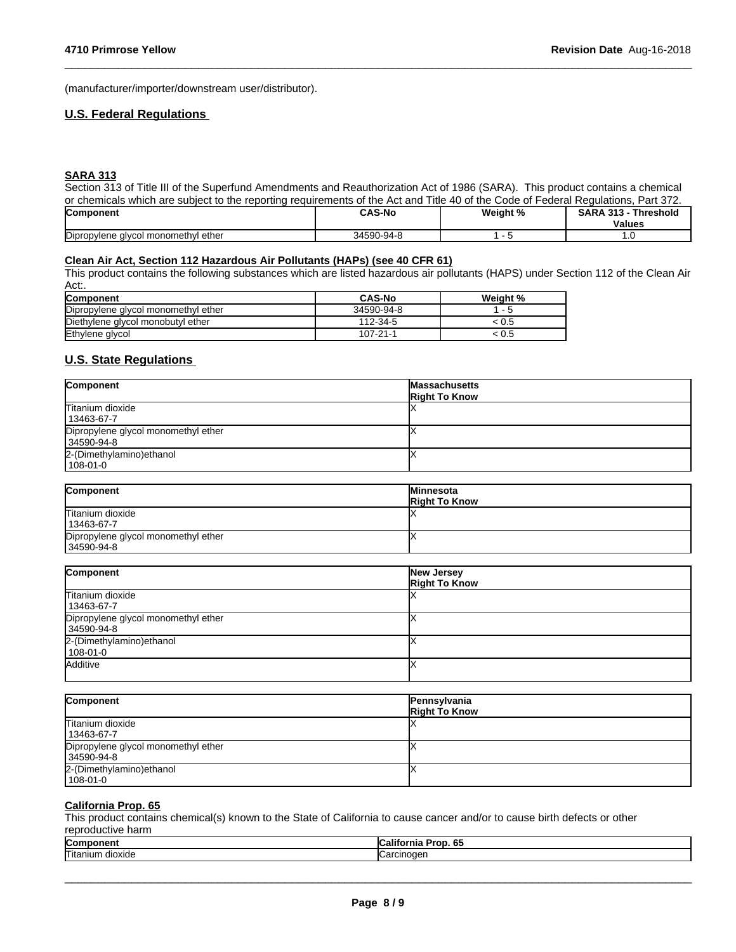(manufacturer/importer/downstream user/distributor).

## **U.S. Federal Regulations**

## **SARA 313**

Section 313 of Title III of the Superfund Amendments and Reauthorization Act of 1986 (SARA). This product contains a chemical or chemicals which are subject to the reporting requirements of the Act and Title 40 of the Code of Federal Regulations, Part 372.

 $\_$  ,  $\_$  ,  $\_$  ,  $\_$  ,  $\_$  ,  $\_$  ,  $\_$  ,  $\_$  ,  $\_$  ,  $\_$  ,  $\_$  ,  $\_$  ,  $\_$  ,  $\_$  ,  $\_$  ,  $\_$  ,  $\_$  ,  $\_$  ,  $\_$  ,  $\_$  ,  $\_$  ,  $\_$  ,  $\_$  ,  $\_$  ,  $\_$  ,  $\_$  ,  $\_$  ,  $\_$  ,  $\_$  ,  $\_$  ,  $\_$  ,  $\_$  ,  $\_$  ,  $\_$  ,  $\_$  ,  $\_$  ,  $\_$  ,

| <b>Component</b>                                      | <b>CAS-No</b>               | Weight % | <b>CAD</b><br>-949<br>Thresholo |
|-------------------------------------------------------|-----------------------------|----------|---------------------------------|
|                                                       |                             |          | <b>Values</b>                   |
| Dipropylene<br>l ether<br>l monomethvl<br>uvee.<br>v. | 3450 <sup>o</sup><br>)-Q4-S |          | .                               |

#### **Clean Air Act,Section 112 Hazardous Air Pollutants (HAPs) (see 40 CFR 61)**

This product contains the following substances which are listed hazardous air pollutants (HAPS) under Section 112 of the Clean Air Act:.

| Component                           | <b>CAS-No</b> | Weight %                 |
|-------------------------------------|---------------|--------------------------|
| Dipropylene glycol monomethyl ether | 34590-94-8    | $\overline{\phantom{0}}$ |
| Diethylene glycol monobutyl ether   | 112-34-5      | .U.S                     |
| Ethylene glycol                     | 107-21-1      | U.5                      |

# **U.S. State Regulations**

| Component                           | <b>Massachusetts</b><br><b>Right To Know</b> |
|-------------------------------------|----------------------------------------------|
| Titanium dioxide                    |                                              |
| 13463-67-7                          |                                              |
| Dipropylene glycol monomethyl ether |                                              |
| 34590-94-8                          |                                              |
| 2-(Dimethylamino) ethanol           |                                              |
| 108-01-0                            |                                              |

| Component                           | <b>Minnesota</b><br><b>Right To Know</b> |
|-------------------------------------|------------------------------------------|
| Titanium dioxide<br>13463-67-7      |                                          |
| Dipropylene glycol monomethyl ether |                                          |
| 34590-94-8                          |                                          |

| Component                           | New Jersey<br><b>Right To Know</b> |
|-------------------------------------|------------------------------------|
| Titanium dioxide                    |                                    |
| 13463-67-7                          |                                    |
| Dipropylene glycol monomethyl ether |                                    |
| 34590-94-8                          |                                    |
| 2-(Dimethylamino) ethanol           |                                    |
| $108 - 01 - 0$                      |                                    |
| Additive                            |                                    |
|                                     |                                    |

| Component                           | Pennsylvania<br><b>Right To Know</b> |
|-------------------------------------|--------------------------------------|
| Titanium dioxide                    |                                      |
| 13463-67-7                          |                                      |
| Dipropylene glycol monomethyl ether |                                      |
| 34590-94-8                          |                                      |
| 2-(Dimethylamino) ethanol           |                                      |
| $ 108-01-0 $                        |                                      |

#### **California Prop. 65**

This product contains chemical(s) known to the State of California to cause cancer and/or to cause birth defects or other reproductive harm

| .                             |                                     |
|-------------------------------|-------------------------------------|
| <b>Com</b><br>-               | .<br><b>AF</b><br>6.<br>70 I D<br>н |
| −−<br>!I itani∖<br><br>iuxiue | .                                   |